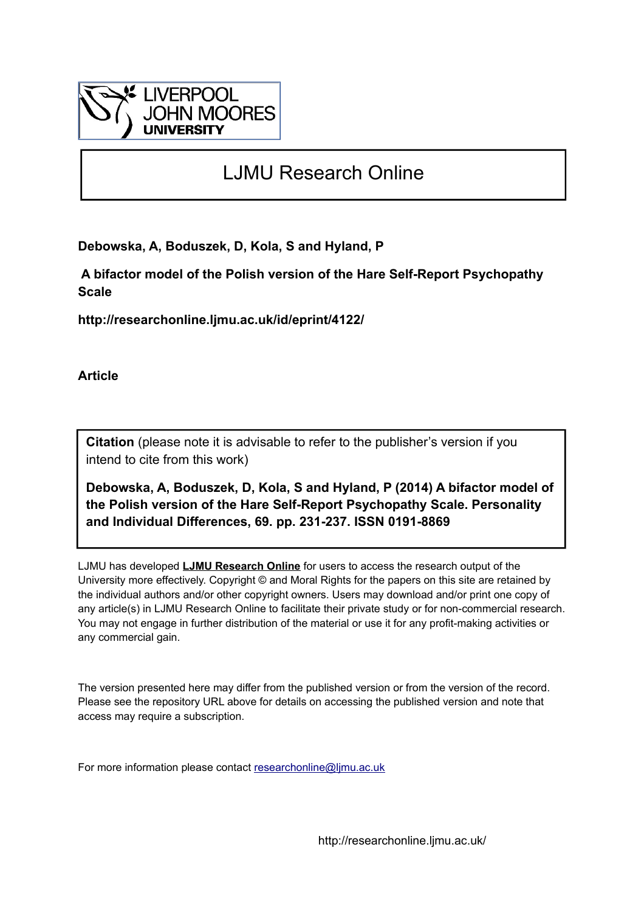

# LJMU Research Online

**Debowska, A, Boduszek, D, Kola, S and Hyland, P**

 **A bifactor model of the Polish version of the Hare Self-Report Psychopathy Scale**

**http://researchonline.ljmu.ac.uk/id/eprint/4122/**

**Article**

**Citation** (please note it is advisable to refer to the publisher's version if you intend to cite from this work)

**Debowska, A, Boduszek, D, Kola, S and Hyland, P (2014) A bifactor model of the Polish version of the Hare Self-Report Psychopathy Scale. Personality and Individual Differences, 69. pp. 231-237. ISSN 0191-8869** 

LJMU has developed **[LJMU Research Online](http://researchonline.ljmu.ac.uk/)** for users to access the research output of the University more effectively. Copyright © and Moral Rights for the papers on this site are retained by the individual authors and/or other copyright owners. Users may download and/or print one copy of any article(s) in LJMU Research Online to facilitate their private study or for non-commercial research. You may not engage in further distribution of the material or use it for any profit-making activities or any commercial gain.

The version presented here may differ from the published version or from the version of the record. Please see the repository URL above for details on accessing the published version and note that access may require a subscription.

For more information please contact [researchonline@ljmu.ac.uk](mailto:researchonline@ljmu.ac.uk)

http://researchonline.ljmu.ac.uk/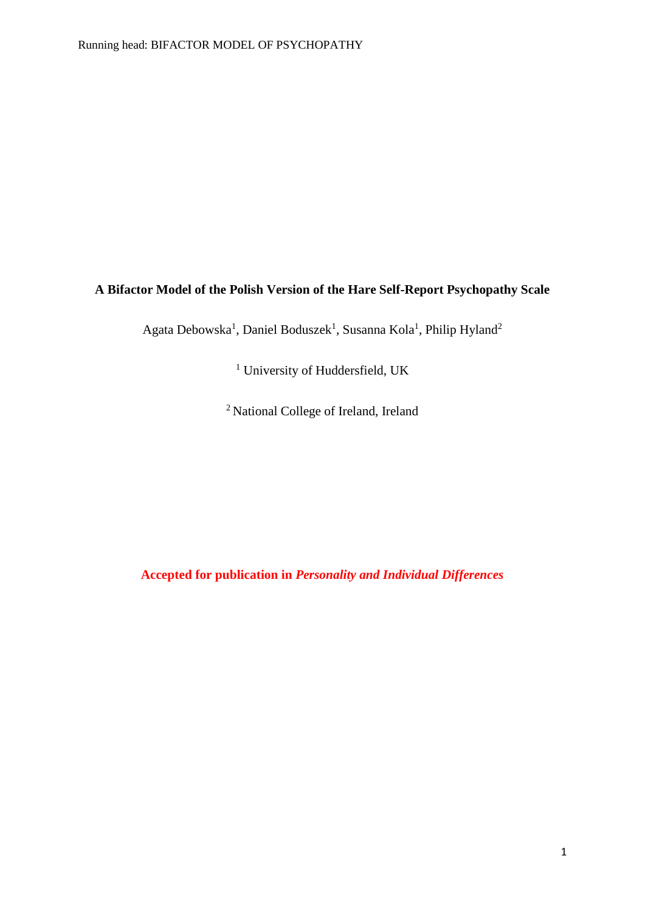## **A Bifactor Model of the Polish Version of the Hare Self-Report Psychopathy Scale**

Agata Debowska<sup>1</sup>, Daniel Boduszek<sup>1</sup>, Susanna Kola<sup>1</sup>, Philip Hyland<sup>2</sup>

<sup>1</sup> University of Huddersfield, UK

<sup>2</sup> National College of Ireland, Ireland

**Accepted for publication in** *Personality and Individual Differences*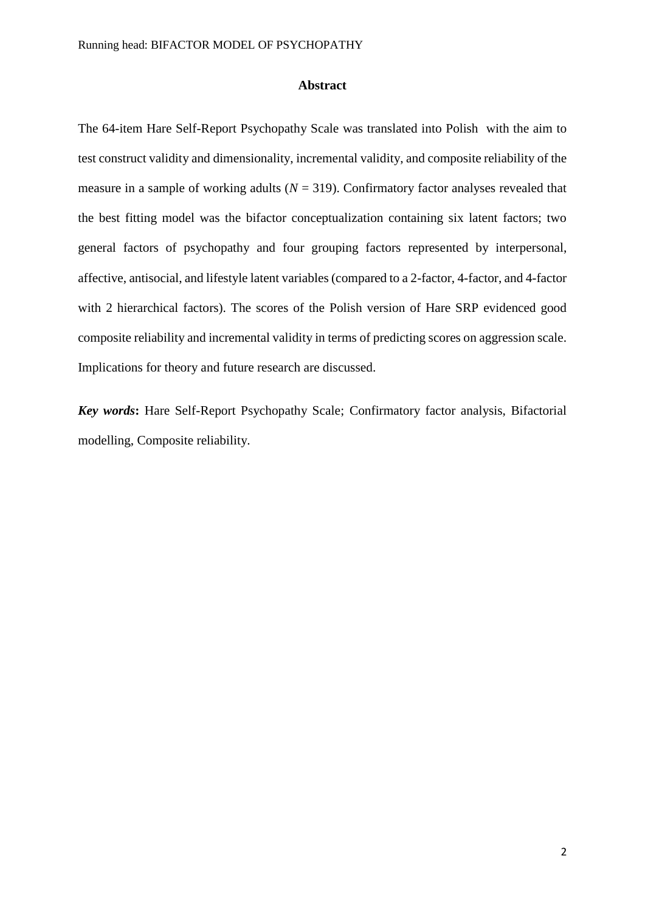#### **Abstract**

The 64-item Hare Self-Report Psychopathy Scale was translated into Polish with the aim to test construct validity and dimensionality, incremental validity, and composite reliability of the measure in a sample of working adults ( $N = 319$ ). Confirmatory factor analyses revealed that the best fitting model was the bifactor conceptualization containing six latent factors; two general factors of psychopathy and four grouping factors represented by interpersonal, affective, antisocial, and lifestyle latent variables (compared to a 2-factor, 4-factor, and 4-factor with 2 hierarchical factors). The scores of the Polish version of Hare SRP evidenced good composite reliability and incremental validity in terms of predicting scores on aggression scale. Implications for theory and future research are discussed.

*Key words***:** Hare Self-Report Psychopathy Scale; Confirmatory factor analysis, Bifactorial modelling, Composite reliability.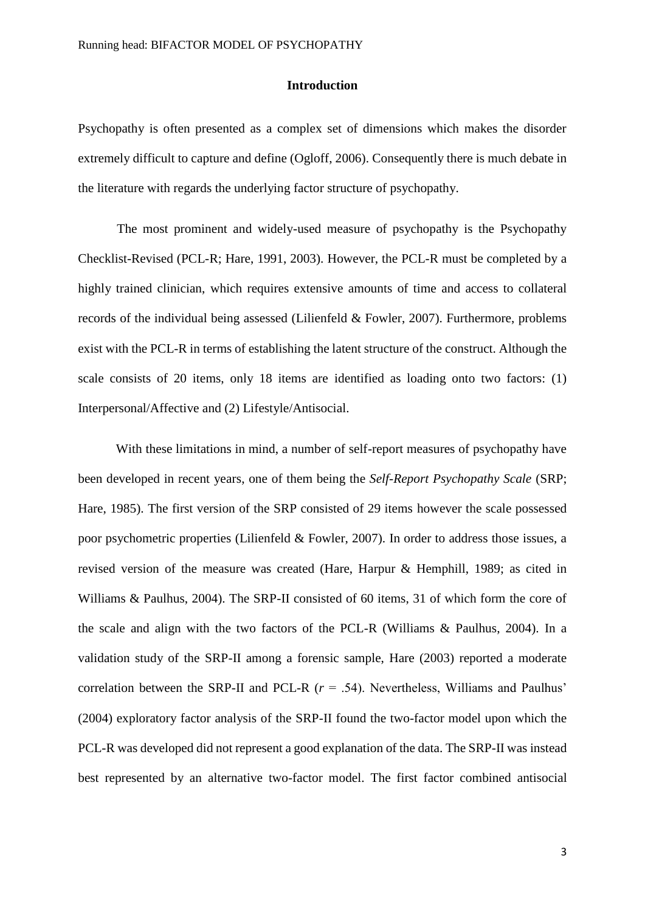#### **Introduction**

Psychopathy is often presented as a complex set of dimensions which makes the disorder extremely difficult to capture and define (Ogloff, 2006). Consequently there is much debate in the literature with regards the underlying factor structure of psychopathy.

The most prominent and widely-used measure of psychopathy is the Psychopathy Checklist-Revised (PCL-R; Hare, 1991, 2003). However, the PCL-R must be completed by a highly trained clinician, which requires extensive amounts of time and access to collateral records of the individual being assessed (Lilienfeld & Fowler, 2007). Furthermore, problems exist with the PCL-R in terms of establishing the latent structure of the construct. Although the scale consists of 20 items, only 18 items are identified as loading onto two factors: (1) Interpersonal/Affective and (2) Lifestyle/Antisocial.

With these limitations in mind, a number of self-report measures of psychopathy have been developed in recent years, one of them being the *Self-Report Psychopathy Scale* (SRP; Hare, 1985). The first version of the SRP consisted of 29 items however the scale possessed poor psychometric properties (Lilienfeld & Fowler, 2007). In order to address those issues, a revised version of the measure was created (Hare, Harpur & Hemphill, 1989; as cited in Williams & Paulhus, 2004). The SRP-II consisted of 60 items, 31 of which form the core of the scale and align with the two factors of the PCL-R (Williams & Paulhus, 2004). In a validation study of the SRP-II among a forensic sample, Hare (2003) reported a moderate correlation between the SRP-II and PCL-R (*r* = .54). Nevertheless, Williams and Paulhus' (2004) exploratory factor analysis of the SRP-II found the two-factor model upon which the PCL-R was developed did not represent a good explanation of the data. The SRP-II was instead best represented by an alternative two-factor model. The first factor combined antisocial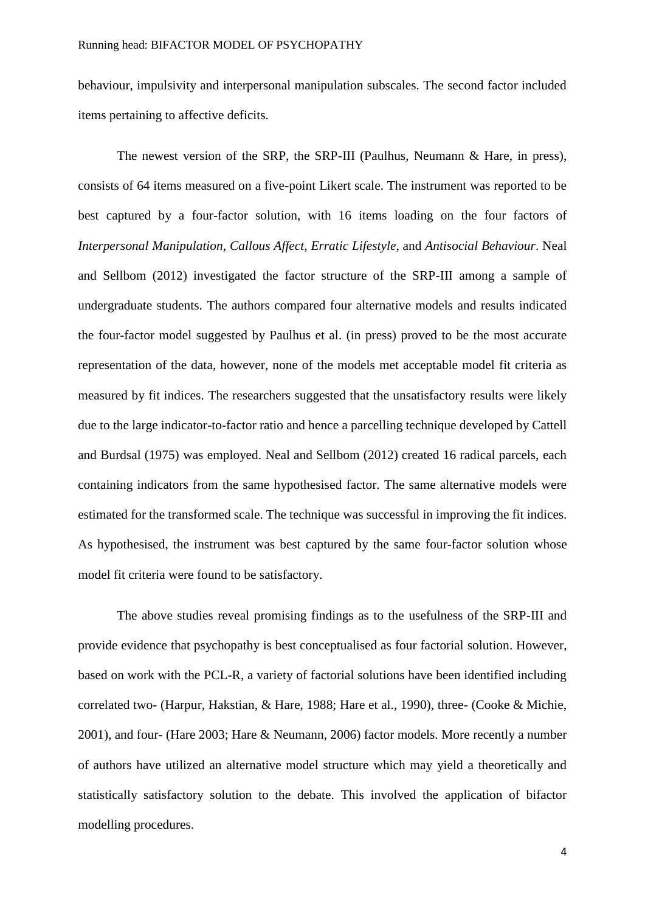behaviour, impulsivity and interpersonal manipulation subscales. The second factor included items pertaining to affective deficits.

The newest version of the SRP, the SRP-III (Paulhus, Neumann & Hare, in press), consists of 64 items measured on a five-point Likert scale. The instrument was reported to be best captured by a four-factor solution, with 16 items loading on the four factors of *Interpersonal Manipulation*, *Callous Affect*, *Erratic Lifestyle,* and *Antisocial Behaviour*. Neal and Sellbom (2012) investigated the factor structure of the SRP-III among a sample of undergraduate students. The authors compared four alternative models and results indicated the four-factor model suggested by Paulhus et al. (in press) proved to be the most accurate representation of the data, however, none of the models met acceptable model fit criteria as measured by fit indices. The researchers suggested that the unsatisfactory results were likely due to the large indicator-to-factor ratio and hence a parcelling technique developed by Cattell and Burdsal (1975) was employed. Neal and Sellbom (2012) created 16 radical parcels, each containing indicators from the same hypothesised factor. The same alternative models were estimated for the transformed scale. The technique was successful in improving the fit indices. As hypothesised, the instrument was best captured by the same four-factor solution whose model fit criteria were found to be satisfactory.

The above studies reveal promising findings as to the usefulness of the SRP-III and provide evidence that psychopathy is best conceptualised as four factorial solution. However, based on work with the PCL-R, a variety of factorial solutions have been identified including correlated two- (Harpur, Hakstian, & Hare, 1988; Hare et al., 1990), three- (Cooke & Michie, 2001), and four- (Hare 2003; Hare & Neumann, 2006) factor models. More recently a number of authors have utilized an alternative model structure which may yield a theoretically and statistically satisfactory solution to the debate. This involved the application of bifactor modelling procedures.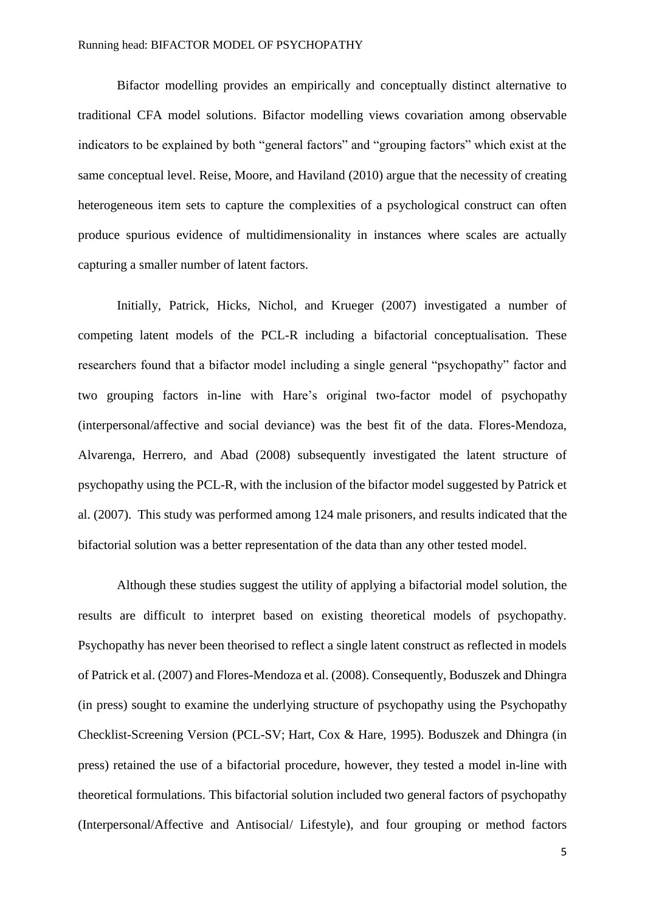Bifactor modelling provides an empirically and conceptually distinct alternative to traditional CFA model solutions. Bifactor modelling views covariation among observable indicators to be explained by both "general factors" and "grouping factors" which exist at the same conceptual level. Reise, Moore, and Haviland (2010) argue that the necessity of creating heterogeneous item sets to capture the complexities of a psychological construct can often produce spurious evidence of multidimensionality in instances where scales are actually capturing a smaller number of latent factors.

Initially, Patrick, Hicks, Nichol, and Krueger (2007) investigated a number of competing latent models of the PCL-R including a bifactorial conceptualisation. These researchers found that a bifactor model including a single general "psychopathy" factor and two grouping factors in-line with Hare's original two-factor model of psychopathy (interpersonal/affective and social deviance) was the best fit of the data. Flores-Mendoza, Alvarenga, Herrero, and Abad (2008) subsequently investigated the latent structure of psychopathy using the PCL-R, with the inclusion of the bifactor model suggested by Patrick et al. (2007). This study was performed among 124 male prisoners, and results indicated that the bifactorial solution was a better representation of the data than any other tested model.

Although these studies suggest the utility of applying a bifactorial model solution, the results are difficult to interpret based on existing theoretical models of psychopathy. Psychopathy has never been theorised to reflect a single latent construct as reflected in models of Patrick et al. (2007) and Flores-Mendoza et al. (2008). Consequently, Boduszek and Dhingra (in press) sought to examine the underlying structure of psychopathy using the Psychopathy Checklist-Screening Version (PCL-SV; Hart, Cox & Hare, 1995). Boduszek and Dhingra (in press) retained the use of a bifactorial procedure, however, they tested a model in-line with theoretical formulations. This bifactorial solution included two general factors of psychopathy (Interpersonal/Affective and Antisocial/ Lifestyle), and four grouping or method factors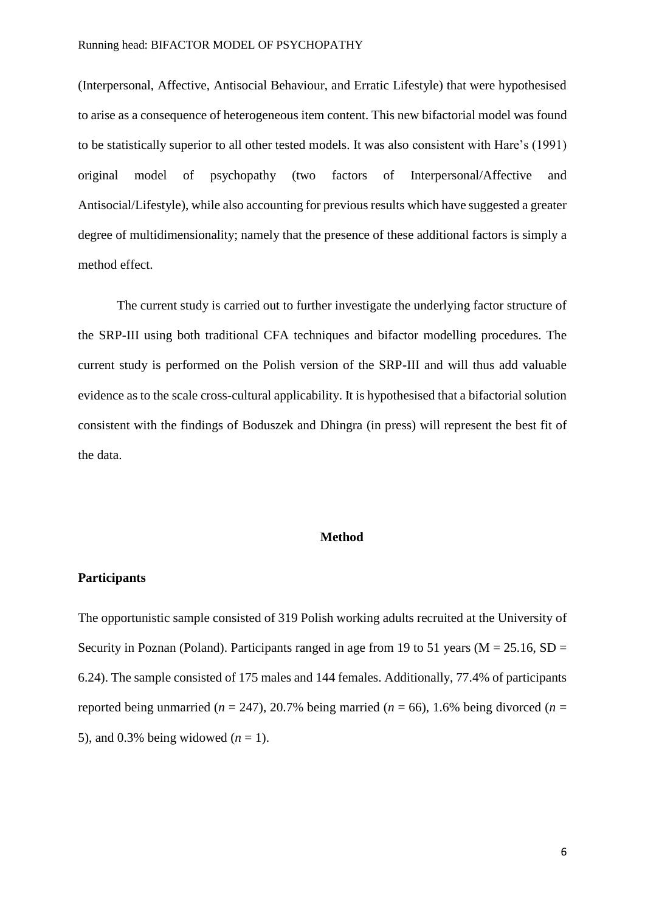(Interpersonal, Affective, Antisocial Behaviour, and Erratic Lifestyle) that were hypothesised to arise as a consequence of heterogeneous item content. This new bifactorial model was found to be statistically superior to all other tested models. It was also consistent with Hare's (1991) original model of psychopathy (two factors of Interpersonal/Affective and Antisocial/Lifestyle), while also accounting for previous results which have suggested a greater degree of multidimensionality; namely that the presence of these additional factors is simply a method effect.

The current study is carried out to further investigate the underlying factor structure of the SRP-III using both traditional CFA techniques and bifactor modelling procedures. The current study is performed on the Polish version of the SRP-III and will thus add valuable evidence as to the scale cross-cultural applicability. It is hypothesised that a bifactorial solution consistent with the findings of Boduszek and Dhingra (in press) will represent the best fit of the data.

#### **Method**

#### **Participants**

The opportunistic sample consisted of 319 Polish working adults recruited at the University of Security in Poznan (Poland). Participants ranged in age from 19 to 51 years ( $M = 25.16$ , SD = 6.24). The sample consisted of 175 males and 144 females. Additionally, 77.4% of participants reported being unmarried ( $n = 247$ ), 20.7% being married ( $n = 66$ ), 1.6% being divorced ( $n =$ 5), and 0.3% being widowed  $(n = 1)$ .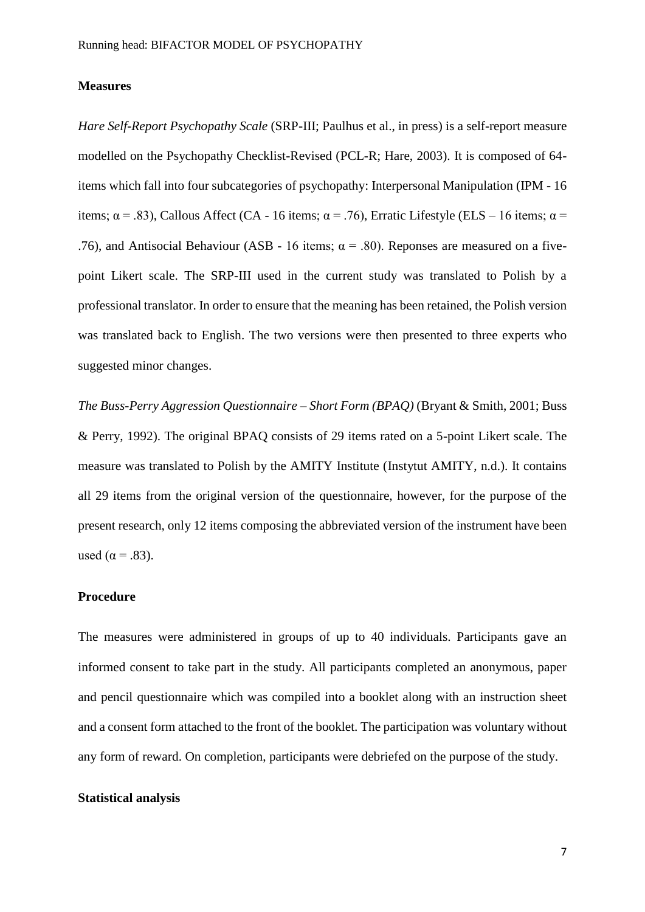#### **Measures**

*Hare Self-Report Psychopathy Scale* (SRP-III; Paulhus et al., in press) is a self-report measure modelled on the Psychopathy Checklist-Revised (PCL-R; Hare, 2003). It is composed of 64 items which fall into four subcategories of psychopathy: Interpersonal Manipulation (IPM - 16 items;  $\alpha$  = .83), Callous Affect (CA - 16 items;  $\alpha$  = .76), Erratic Lifestyle (ELS – 16 items;  $\alpha$  = .76), and Antisocial Behaviour (ASB - 16 items;  $\alpha$  = .80). Reponses are measured on a fivepoint Likert scale. The SRP-III used in the current study was translated to Polish by a professional translator. In order to ensure that the meaning has been retained, the Polish version was translated back to English. The two versions were then presented to three experts who suggested minor changes.

*The Buss-Perry Aggression Questionnaire – Short Form (BPAQ)* (Bryant & Smith, 2001; Buss & Perry, 1992). The original BPAQ consists of 29 items rated on a 5-point Likert scale. The measure was translated to Polish by the AMITY Institute (Instytut AMITY, n.d.). It contains all 29 items from the original version of the questionnaire, however, for the purpose of the present research, only 12 items composing the abbreviated version of the instrument have been used ( $\alpha$  = .83).

## **Procedure**

The measures were administered in groups of up to 40 individuals. Participants gave an informed consent to take part in the study. All participants completed an anonymous, paper and pencil questionnaire which was compiled into a booklet along with an instruction sheet and a consent form attached to the front of the booklet. The participation was voluntary without any form of reward. On completion, participants were debriefed on the purpose of the study.

## **Statistical analysis**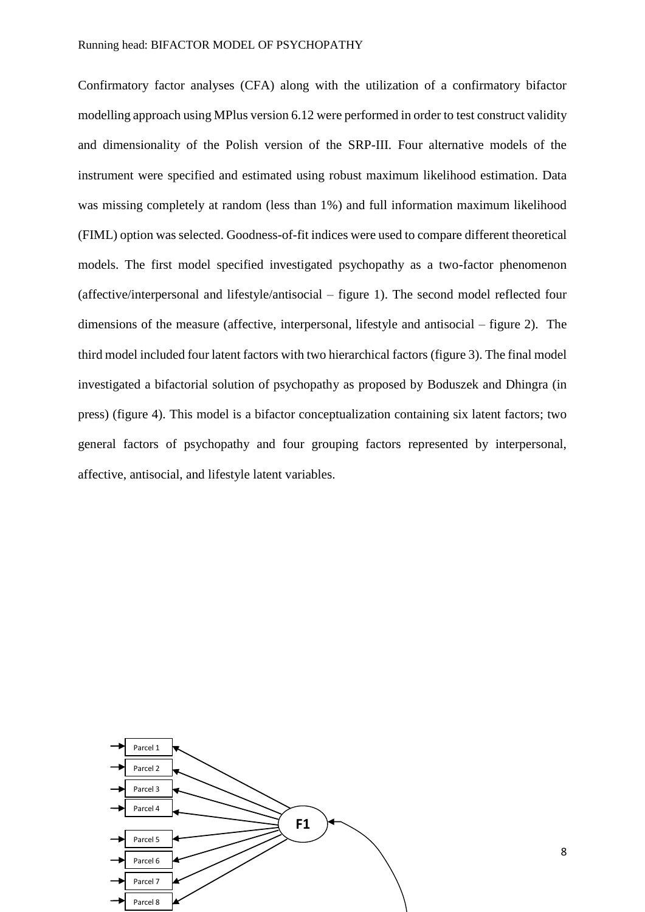Confirmatory factor analyses (CFA) along with the utilization of a confirmatory bifactor modelling approach using MPlus version 6.12 were performed in order to test construct validity and dimensionality of the Polish version of the SRP-III. Four alternative models of the instrument were specified and estimated using robust maximum likelihood estimation. Data was missing completely at random (less than 1%) and full information maximum likelihood (FIML) option was selected. Goodness-of-fit indices were used to compare different theoretical models. The first model specified investigated psychopathy as a two-factor phenomenon (affective/interpersonal and lifestyle/antisocial – figure 1). The second model reflected four dimensions of the measure (affective, interpersonal, lifestyle and antisocial – figure 2). The third model included four latent factors with two hierarchical factors (figure 3). The final model investigated a bifactorial solution of psychopathy as proposed by Boduszek and Dhingra (in press) (figure 4). This model is a bifactor conceptualization containing six latent factors; two general factors of psychopathy and four grouping factors represented by interpersonal, affective, antisocial, and lifestyle latent variables.



8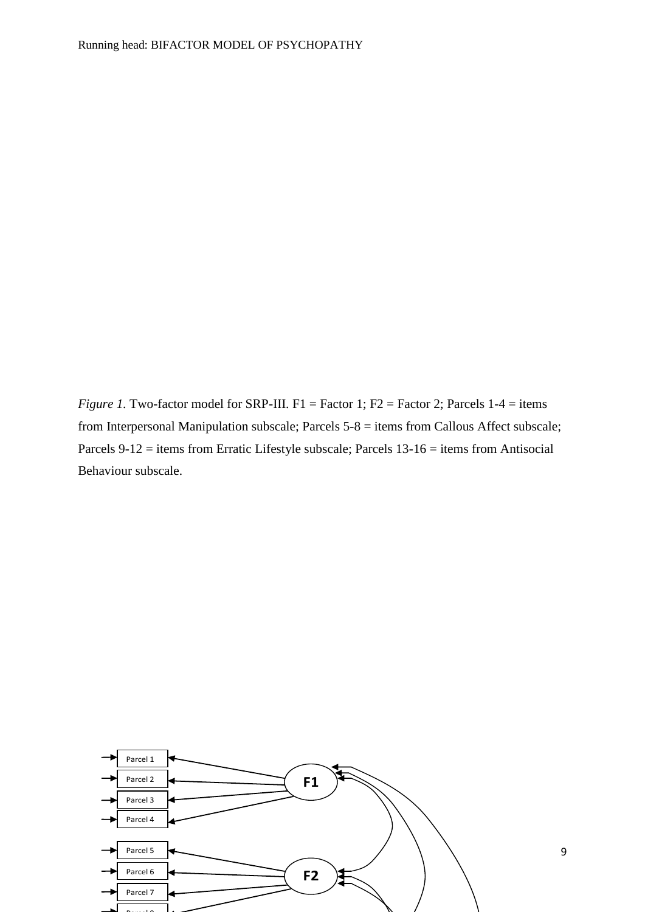*Figure 1.* Two-factor model for SRP-III. F1 = Factor 1; F2 = Factor 2; Parcels 1-4 = items from Interpersonal Manipulation subscale; Parcels 5-8 = items from Callous Affect subscale; Parcels 9-12 = items from Erratic Lifestyle subscale; Parcels 13-16 = items from Antisocial Behaviour subscale.

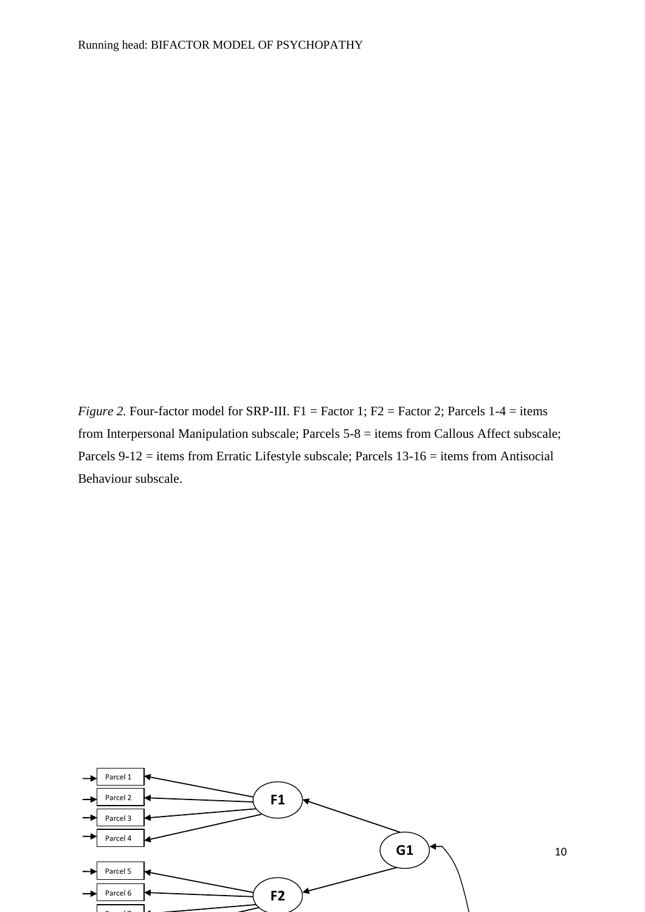*Figure 2.* Four-factor model for SRP-III. F1 = Factor 1; F2 = Factor 2; Parcels  $1-4 =$  items from Interpersonal Manipulation subscale; Parcels 5-8 = items from Callous Affect subscale; Parcels 9-12 = items from Erratic Lifestyle subscale; Parcels 13-16 = items from Antisocial Behaviour subscale.

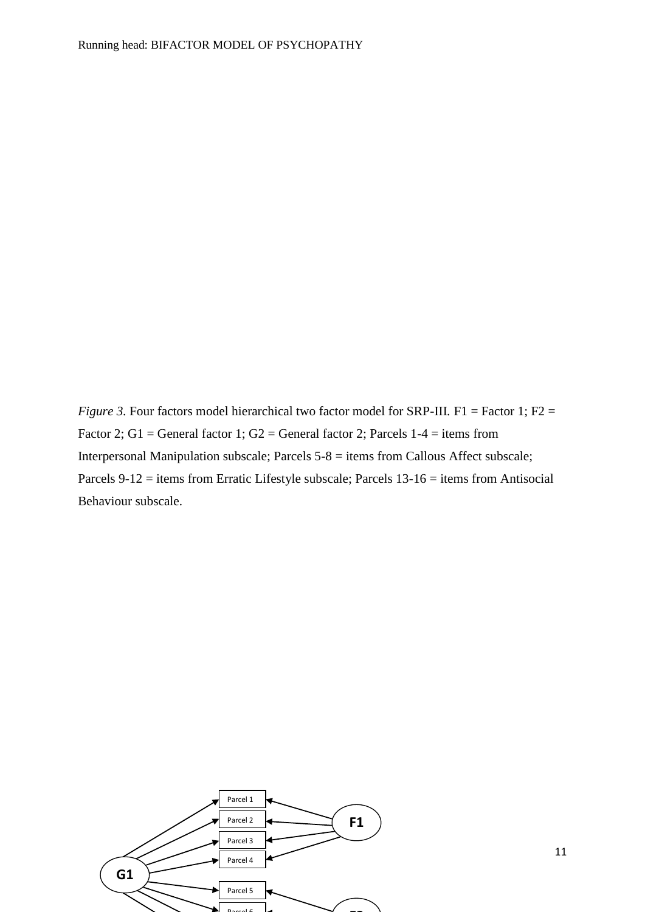*Figure 3.* Four factors model hierarchical two factor model for SRP-III. F1 = Factor 1; F2 = Factor 2; G1 = General factor 1; G2 = General factor 2; Parcels  $1-4 =$  items from Interpersonal Manipulation subscale; Parcels 5-8 = items from Callous Affect subscale; Parcels 9-12 = items from Erratic Lifestyle subscale; Parcels 13-16 = items from Antisocial Behaviour subscale.

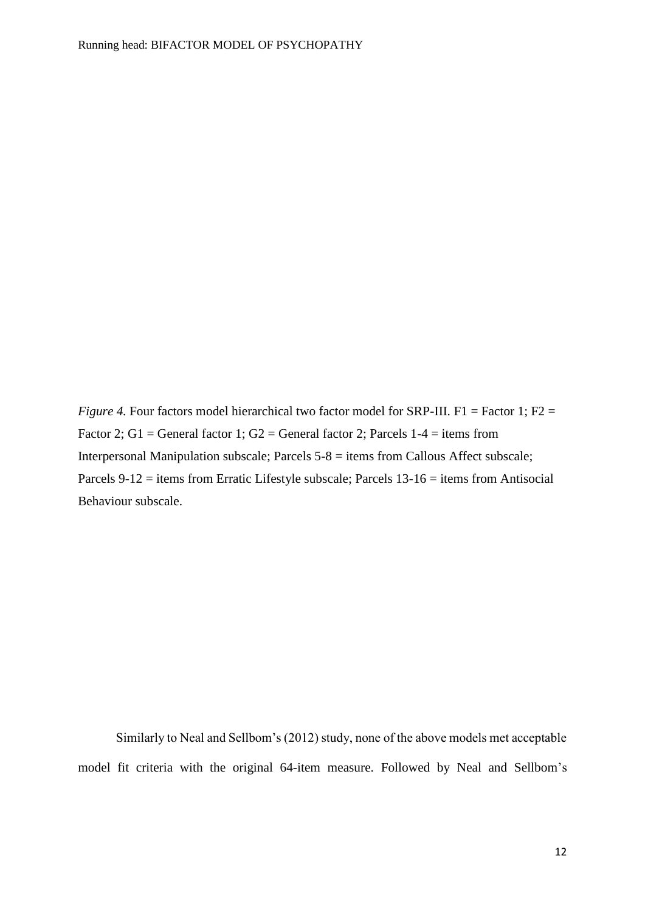*Figure 4.* Four factors model hierarchical two factor model for SRP-III. F1 = Factor 1; F2 = Factor 2; G1 = General factor 1; G2 = General factor 2; Parcels  $1-4 =$  items from Interpersonal Manipulation subscale; Parcels 5-8 = items from Callous Affect subscale; Parcels 9-12 = items from Erratic Lifestyle subscale; Parcels 13-16 = items from Antisocial Behaviour subscale.

Similarly to Neal and Sellbom's (2012) study, none of the above models met acceptable model fit criteria with the original 64-item measure. Followed by Neal and Sellbom's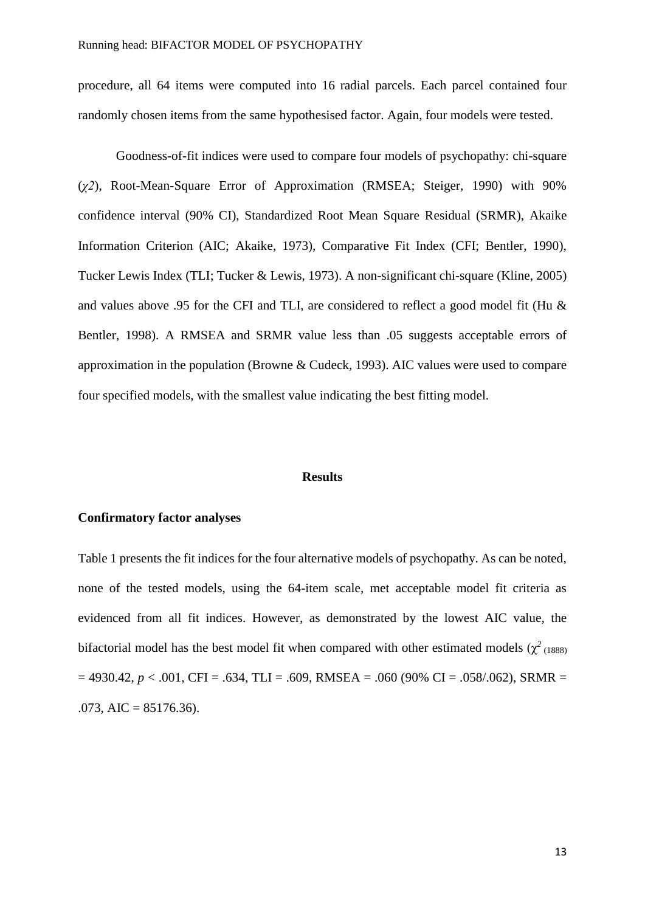procedure, all 64 items were computed into 16 radial parcels. Each parcel contained four randomly chosen items from the same hypothesised factor. Again, four models were tested.

Goodness-of-fit indices were used to compare four models of psychopathy: chi-square (*χ2*), Root-Mean-Square Error of Approximation (RMSEA; Steiger, 1990) with 90% confidence interval (90% CI), Standardized Root Mean Square Residual (SRMR), Akaike Information Criterion (AIC; Akaike, 1973), Comparative Fit Index (CFI; Bentler, 1990), Tucker Lewis Index (TLI; Tucker & Lewis, 1973). A non-significant chi-square (Kline, 2005) and values above .95 for the CFI and TLI, are considered to reflect a good model fit (Hu & Bentler, 1998). A RMSEA and SRMR value less than .05 suggests acceptable errors of approximation in the population (Browne & Cudeck, 1993). AIC values were used to compare four specified models, with the smallest value indicating the best fitting model.

#### **Results**

## **Confirmatory factor analyses**

Table 1 presents the fit indices for the four alternative models of psychopathy. As can be noted, none of the tested models, using the 64-item scale, met acceptable model fit criteria as evidenced from all fit indices. However, as demonstrated by the lowest AIC value, the bifactorial model has the best model fit when compared with other estimated models  $(\chi^2)_{(1888)}$  $= 4930.42, p < .001$ , CFI = .634, TLI = .609, RMSEA = .060 (90% CI = .058/.062), SRMR =  $.073, AIC = 85176.36$ .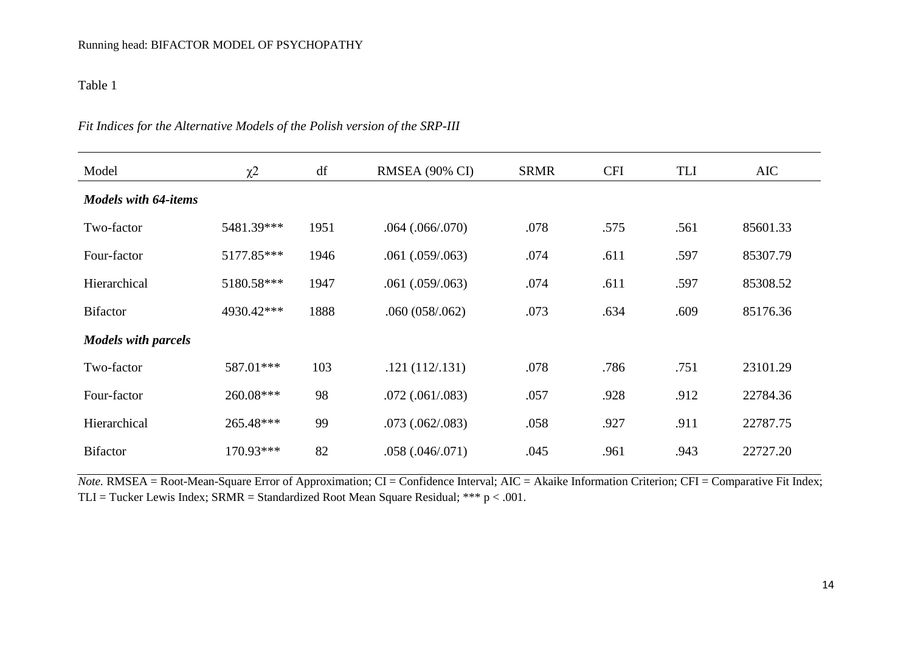Table 1

| Model                       | $\chi^2$   | df   | RMSEA (90% CI)       | <b>SRMR</b> | <b>CFI</b> | TLI  | AIC      |
|-----------------------------|------------|------|----------------------|-------------|------------|------|----------|
| <b>Models with 64-items</b> |            |      |                      |             |            |      |          |
| Two-factor                  | 5481.39*** | 1951 | $.064$ $(.066/.070)$ | .078        | .575       | .561 | 85601.33 |
| Four-factor                 | 5177.85*** | 1946 | $.061$ $(.059/.063)$ | .074        | .611       | .597 | 85307.79 |
| Hierarchical                | 5180.58*** | 1947 | $.061$ $(.059/.063)$ | .074        | .611       | .597 | 85308.52 |
| <b>Bifactor</b>             | 4930.42*** | 1888 | .060(058/062)        | .073        | .634       | .609 | 85176.36 |
| <b>Models with parcels</b>  |            |      |                      |             |            |      |          |
| Two-factor                  | 587.01***  | 103  | .121(112/.131)       | .078        | .786       | .751 | 23101.29 |
| Four-factor                 | 260.08***  | 98   | $.072$ $(.061/083)$  | .057        | .928       | .912 | 22784.36 |
| Hierarchical                | 265.48***  | 99   | $.073$ $(.062/.083)$ | .058        | .927       | .911 | 22787.75 |
| <b>Bifactor</b>             | 170.93***  | 82   | .058(.046/.071)      | .045        | .961       | .943 | 22727.20 |

## *Fit Indices for the Alternative Models of the Polish version of the SRP-III*

*Note.* RMSEA = Root-Mean-Square Error of Approximation; CI = Confidence Interval; AIC = Akaike Information Criterion; CFI = Comparative Fit Index; TLI = Tucker Lewis Index; SRMR = Standardized Root Mean Square Residual; \*\*\*  $p < .001$ .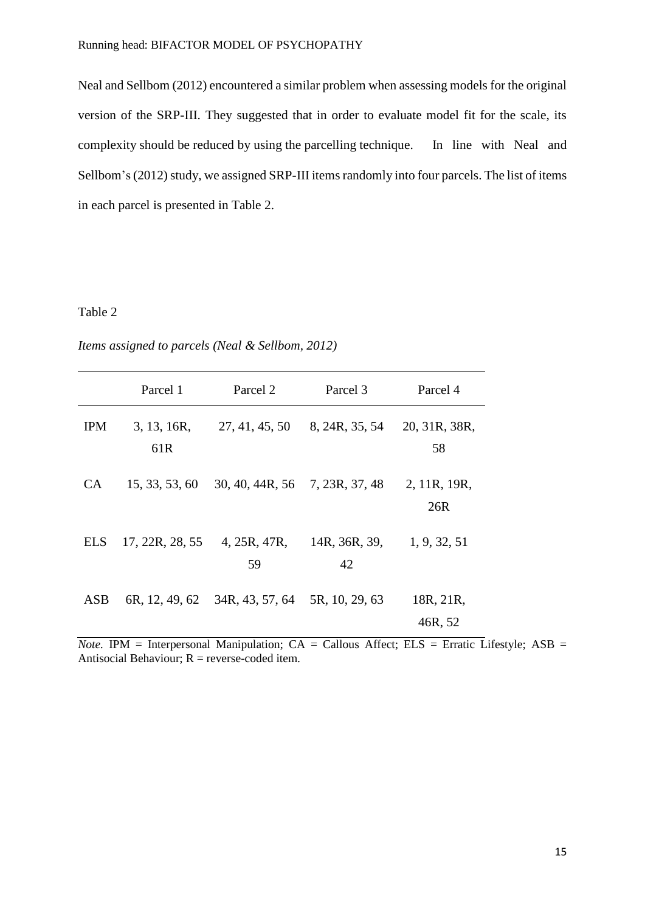Neal and Sellbom (2012) encountered a similar problem when assessing models for the original version of the SRP-III. They suggested that in order to evaluate model fit for the scale, its complexity should be reduced by using the parcelling technique. In line with Neal and Sellbom's (2012) study, we assigned SRP-III items randomly into four parcels. The list of items in each parcel is presented in Table 2.

## Table 2

*Items assigned to parcels (Neal & Sellbom, 2012)*

|            | Parcel 1                       | Parcel 2                       | Parcel 3            | Parcel 4             |
|------------|--------------------------------|--------------------------------|---------------------|----------------------|
| <b>IPM</b> | 3, 13, 16R,<br>61 <sub>R</sub> | 27, 41, 45, 50                 | 8, 24R, 35, 54      | 20, 31R, 38R,<br>58  |
| CA.        | 15, 33, 53, 60                 | 30, 40, 44R, 56 7, 23R, 37, 48 |                     | 2, 11R, 19R,<br>26R  |
| <b>ELS</b> | 17, 22R, 28, 55                | 4, 25R, 47R,<br>59             | 14R, 36R, 39,<br>42 | 1, 9, 32, 51         |
| ASB        | 6R, 12, 49, 62                 | 34R, 43, 57, 64                | 5R, 10, 29, 63      | 18R, 21R,<br>46R, 52 |

 $Note.$  IPM = Interpersonal Manipulation;  $CA = Callous$  Affect;  $ELS = Erratic$  Lifestyle;  $ASB =$ Antisocial Behaviour;  $R =$  reverse-coded item.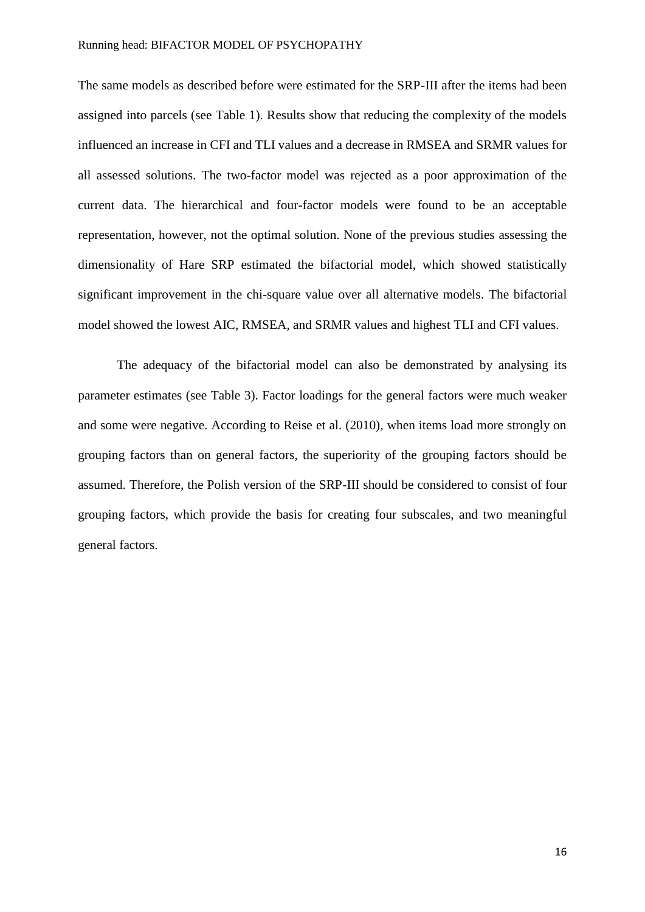The same models as described before were estimated for the SRP-III after the items had been assigned into parcels (see Table 1). Results show that reducing the complexity of the models influenced an increase in CFI and TLI values and a decrease in RMSEA and SRMR values for all assessed solutions. The two-factor model was rejected as a poor approximation of the current data. The hierarchical and four-factor models were found to be an acceptable representation, however, not the optimal solution. None of the previous studies assessing the dimensionality of Hare SRP estimated the bifactorial model, which showed statistically significant improvement in the chi-square value over all alternative models. The bifactorial model showed the lowest AIC, RMSEA, and SRMR values and highest TLI and CFI values.

The adequacy of the bifactorial model can also be demonstrated by analysing its parameter estimates (see Table 3). Factor loadings for the general factors were much weaker and some were negative. According to Reise et al. (2010), when items load more strongly on grouping factors than on general factors, the superiority of the grouping factors should be assumed. Therefore, the Polish version of the SRP-III should be considered to consist of four grouping factors, which provide the basis for creating four subscales, and two meaningful general factors.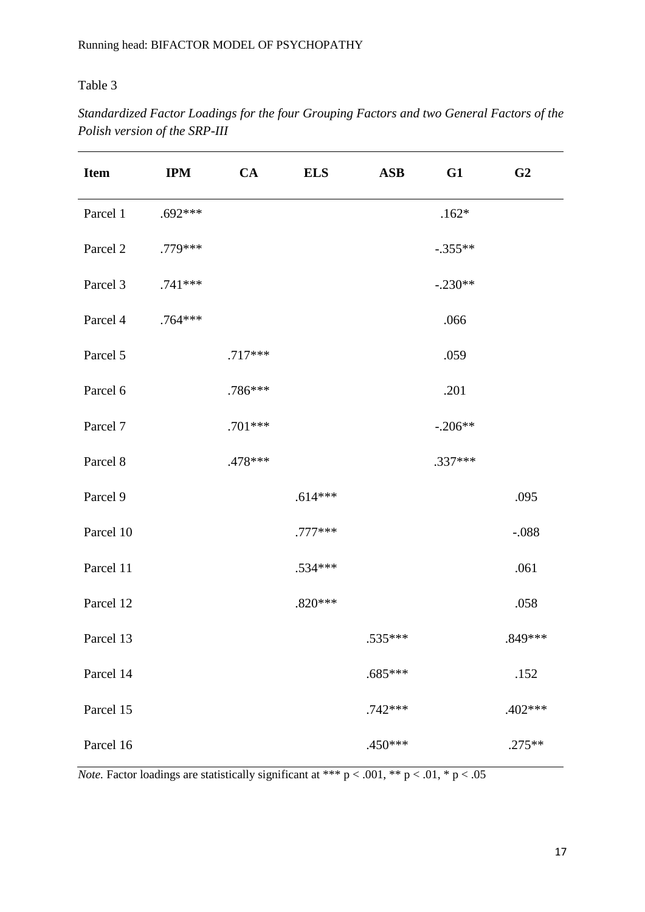# Table 3

| <b>Item</b> | <b>IPM</b> | CA        | <b>ELS</b> | <b>ASB</b> | G1        | G <sub>2</sub> |
|-------------|------------|-----------|------------|------------|-----------|----------------|
| Parcel 1    | $.692***$  |           |            |            | $.162*$   |                |
| Parcel 2    | .779 ***   |           |            |            | $-.355**$ |                |
| Parcel 3    | $.741***$  |           |            |            | $-.230**$ |                |
| Parcel 4    | .764 ***   |           |            |            | .066      |                |
| Parcel 5    |            | $.717***$ |            |            | .059      |                |
| Parcel 6    |            | .786***   |            |            | .201      |                |
| Parcel 7    |            | .701 ***  |            |            | $-.206**$ |                |
| Parcel 8    |            | .478 ***  |            |            | $.337***$ |                |
| Parcel 9    |            |           | $.614***$  |            |           | .095           |
| Parcel 10   |            |           | .777***    |            |           | $-.088$        |
| Parcel 11   |            |           | .534 ***   |            |           | .061           |
| Parcel 12   |            |           | $.820***$  |            |           | .058           |
| Parcel 13   |            |           |            | .535***    |           | .849***        |
| Parcel 14   |            |           |            | $.685***$  |           | .152           |
| Parcel 15   |            |           |            | .742 ***   |           | $.402***$      |
| Parcel 16   |            |           |            | $.450***$  |           | $.275**$       |

*Standardized Factor Loadings for the four Grouping Factors and two General Factors of the Polish version of the SRP-III*

*Note.* Factor loadings are statistically significant at \*\*\*  $p < .001$ , \*\*  $p < .01$ , \*  $p < .05$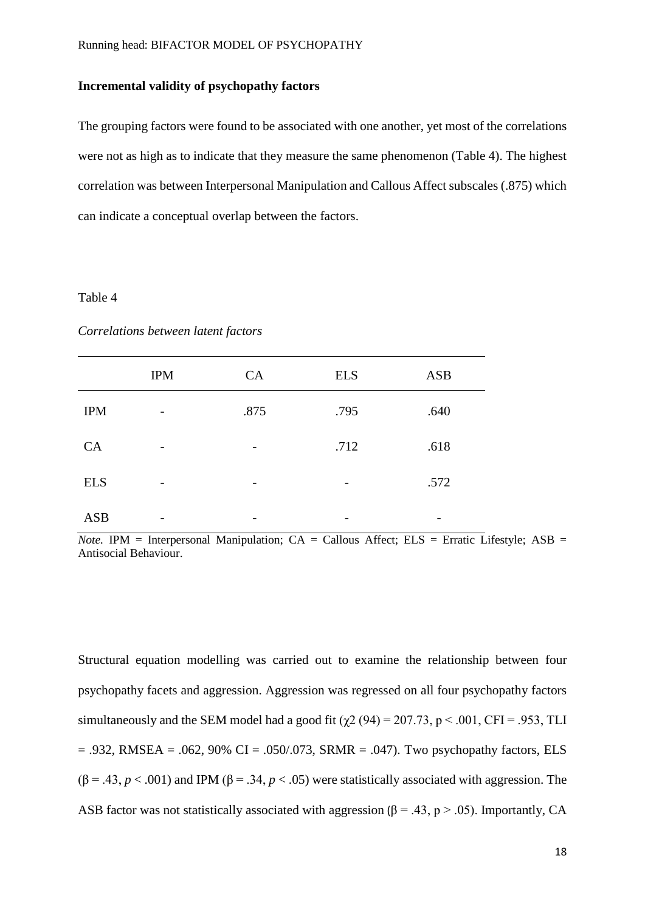### **Incremental validity of psychopathy factors**

The grouping factors were found to be associated with one another, yet most of the correlations were not as high as to indicate that they measure the same phenomenon (Table 4). The highest correlation was between Interpersonal Manipulation and Callous Affect subscales (.875) which can indicate a conceptual overlap between the factors.

#### Table 4

|            | <b>IPM</b>               | CA                       | <b>ELS</b> | <b>ASB</b> |
|------------|--------------------------|--------------------------|------------|------------|
| <b>IPM</b> | $\overline{\phantom{0}}$ | .875                     | .795       | .640       |
| CA         |                          | $\overline{\phantom{0}}$ | .712       | .618       |
| <b>ELS</b> | $\overline{\phantom{0}}$ | $\overline{\phantom{0}}$ | -          | .572       |
| <b>ASB</b> |                          |                          |            |            |

*Correlations between latent factors* 

*Note.* IPM = Interpersonal Manipulation;  $CA = Callous$  Affect;  $ELS = Erratic$  Lifestyle;  $ASB =$ Antisocial Behaviour.

Structural equation modelling was carried out to examine the relationship between four psychopathy facets and aggression. Aggression was regressed on all four psychopathy factors simultaneously and the SEM model had a good fit ( $\gamma$ 2 (94) = 207.73, p < .001, CFI = .953, TLI  $= .932$ , RMSEA =  $.062$ , 90% CI =  $.050/073$ , SRMR =  $.047$ ). Two psychopathy factors, ELS  $(\beta = .43, p < .001)$  and IPM  $(\beta = .34, p < .05)$  were statistically associated with aggression. The ASB factor was not statistically associated with aggression ( $\beta$  = .43, p > .05). Importantly, CA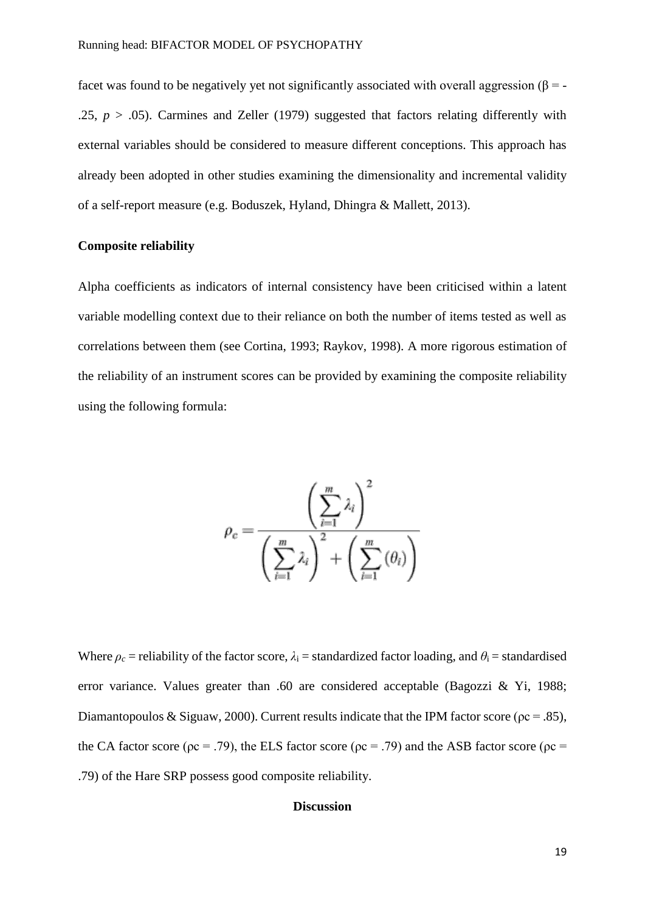facet was found to be negatively yet not significantly associated with overall aggression ( $\beta$  = -.25,  $p > .05$ ). Carmines and Zeller (1979) suggested that factors relating differently with external variables should be considered to measure different conceptions. This approach has already been adopted in other studies examining the dimensionality and incremental validity of a self-report measure (e.g. Boduszek, Hyland, Dhingra & Mallett, 2013).

## **Composite reliability**

Alpha coefficients as indicators of internal consistency have been criticised within a latent variable modelling context due to their reliance on both the number of items tested as well as correlations between them (see Cortina, 1993; Raykov, 1998). A more rigorous estimation of the reliability of an instrument scores can be provided by examining the composite reliability using the following formula:

$$
\rho_c = \frac{\left(\sum_{i=1}^m \lambda_i\right)^2}{\left(\sum_{i=1}^m \lambda_i\right)^2 + \left(\sum_{i=1}^m (\theta_i)\right)}
$$

Where  $\rho_c$  = reliability of the factor score,  $\lambda_i$  = standardized factor loading, and  $\theta_i$  = standardised error variance. Values greater than .60 are considered acceptable [\(Bagozzi & Yi, 1988;](http://www.sciencedirect.com/science/article/pii/S0160289605000565#bib5) [Diamantopoulos & Siguaw, 2000\)](http://www.sciencedirect.com/science/article/pii/S0160289605000565#bib12). Current results indicate that the IPM factor score ( $\rho c = .85$ ), the CA factor score ( $\rho c = .79$ ), the ELS factor score ( $\rho c = .79$ ) and the ASB factor score ( $\rho c =$ .79) of the Hare SRP possess good composite reliability.

## **Discussion**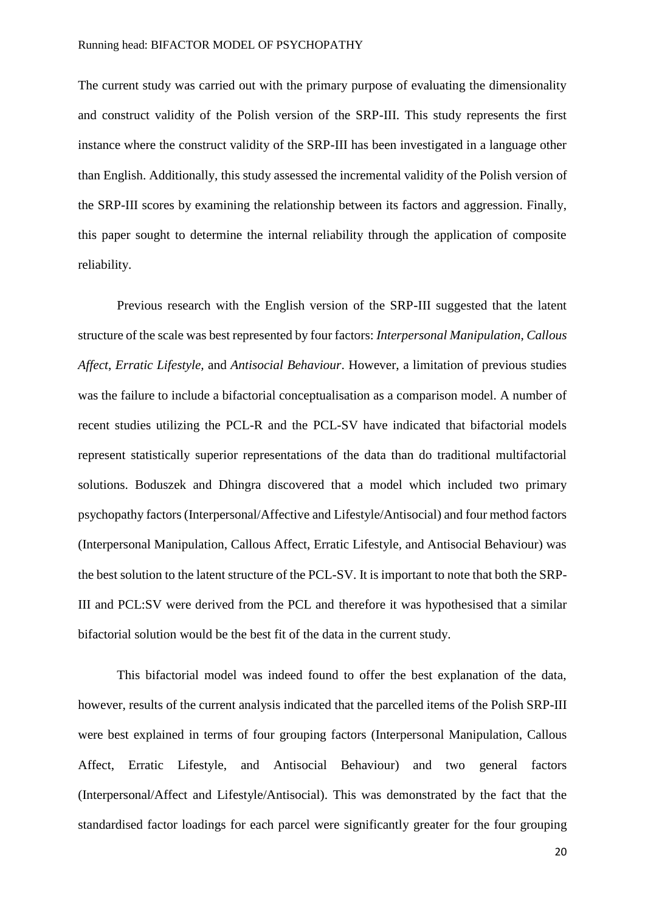The current study was carried out with the primary purpose of evaluating the dimensionality and construct validity of the Polish version of the SRP-III. This study represents the first instance where the construct validity of the SRP-III has been investigated in a language other than English. Additionally, this study assessed the incremental validity of the Polish version of the SRP-III scores by examining the relationship between its factors and aggression. Finally, this paper sought to determine the internal reliability through the application of composite reliability.

Previous research with the English version of the SRP-III suggested that the latent structure of the scale was best represented by four factors: *Interpersonal Manipulation*, *Callous Affect*, *Erratic Lifestyle,* and *Antisocial Behaviour*. However, a limitation of previous studies was the failure to include a bifactorial conceptualisation as a comparison model. A number of recent studies utilizing the PCL-R and the PCL-SV have indicated that bifactorial models represent statistically superior representations of the data than do traditional multifactorial solutions. Boduszek and Dhingra discovered that a model which included two primary psychopathy factors (Interpersonal/Affective and Lifestyle/Antisocial) and four method factors (Interpersonal Manipulation, Callous Affect, Erratic Lifestyle, and Antisocial Behaviour) was the best solution to the latent structure of the PCL-SV. It is important to note that both the SRP-III and PCL:SV were derived from the PCL and therefore it was hypothesised that a similar bifactorial solution would be the best fit of the data in the current study.

This bifactorial model was indeed found to offer the best explanation of the data, however, results of the current analysis indicated that the parcelled items of the Polish SRP-III were best explained in terms of four grouping factors (Interpersonal Manipulation, Callous Affect, Erratic Lifestyle, and Antisocial Behaviour) and two general factors (Interpersonal/Affect and Lifestyle/Antisocial). This was demonstrated by the fact that the standardised factor loadings for each parcel were significantly greater for the four grouping

20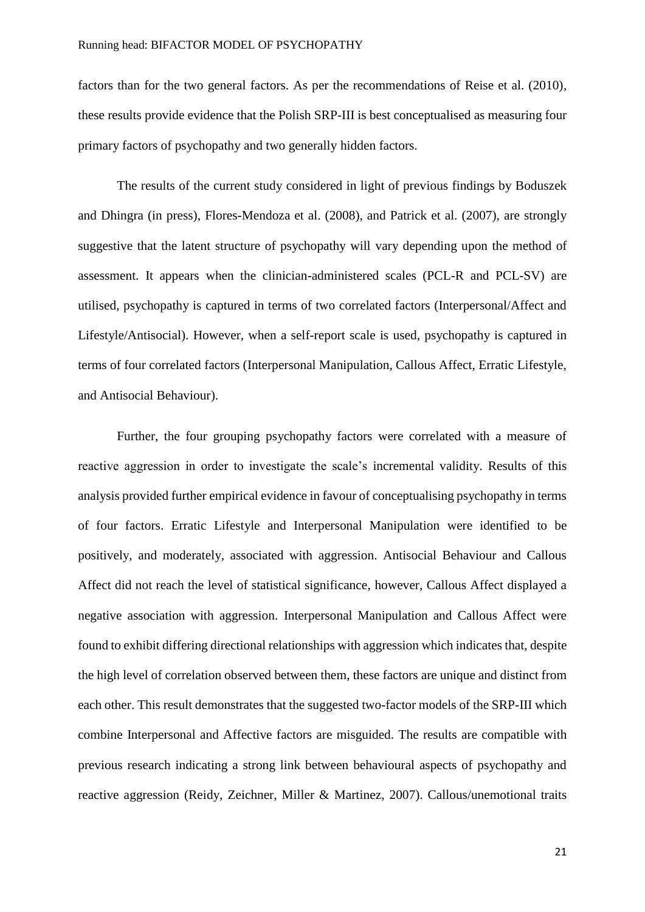factors than for the two general factors. As per the recommendations of Reise et al. (2010), these results provide evidence that the Polish SRP-III is best conceptualised as measuring four primary factors of psychopathy and two generally hidden factors.

The results of the current study considered in light of previous findings by Boduszek and Dhingra (in press), Flores-Mendoza et al. (2008), and Patrick et al. (2007), are strongly suggestive that the latent structure of psychopathy will vary depending upon the method of assessment. It appears when the clinician-administered scales (PCL-R and PCL-SV) are utilised, psychopathy is captured in terms of two correlated factors (Interpersonal/Affect and Lifestyle/Antisocial). However, when a self-report scale is used, psychopathy is captured in terms of four correlated factors (Interpersonal Manipulation, Callous Affect, Erratic Lifestyle, and Antisocial Behaviour).

Further, the four grouping psychopathy factors were correlated with a measure of reactive aggression in order to investigate the scale's incremental validity. Results of this analysis provided further empirical evidence in favour of conceptualising psychopathy in terms of four factors. Erratic Lifestyle and Interpersonal Manipulation were identified to be positively, and moderately, associated with aggression. Antisocial Behaviour and Callous Affect did not reach the level of statistical significance, however, Callous Affect displayed a negative association with aggression. Interpersonal Manipulation and Callous Affect were found to exhibit differing directional relationships with aggression which indicates that, despite the high level of correlation observed between them, these factors are unique and distinct from each other. This result demonstrates that the suggested two-factor models of the SRP-III which combine Interpersonal and Affective factors are misguided. The results are compatible with previous research indicating a strong link between behavioural aspects of psychopathy and reactive aggression (Reidy, Zeichner, Miller & Martinez, 2007). Callous/unemotional traits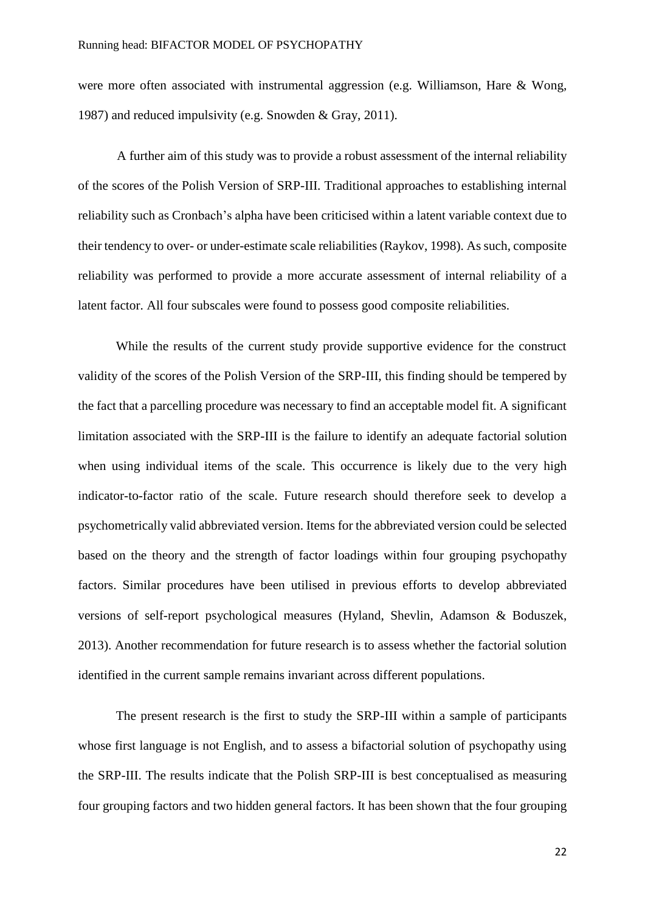were more often associated with instrumental aggression (e.g. Williamson, Hare & Wong, 1987) and reduced impulsivity (e.g. Snowden & Gray, 2011).

A further aim of this study was to provide a robust assessment of the internal reliability of the scores of the Polish Version of SRP-III. Traditional approaches to establishing internal reliability such as Cronbach's alpha have been criticised within a latent variable context due to their tendency to over- or under-estimate scale reliabilities (Raykov, 1998). As such, composite reliability was performed to provide a more accurate assessment of internal reliability of a latent factor. All four subscales were found to possess good composite reliabilities.

While the results of the current study provide supportive evidence for the construct validity of the scores of the Polish Version of the SRP-III, this finding should be tempered by the fact that a parcelling procedure was necessary to find an acceptable model fit. A significant limitation associated with the SRP-III is the failure to identify an adequate factorial solution when using individual items of the scale. This occurrence is likely due to the very high indicator-to-factor ratio of the scale. Future research should therefore seek to develop a psychometrically valid abbreviated version. Items for the abbreviated version could be selected based on the theory and the strength of factor loadings within four grouping psychopathy factors. Similar procedures have been utilised in previous efforts to develop abbreviated versions of self-report psychological measures (Hyland, Shevlin, Adamson & Boduszek, 2013). Another recommendation for future research is to assess whether the factorial solution identified in the current sample remains invariant across different populations.

The present research is the first to study the SRP-III within a sample of participants whose first language is not English, and to assess a bifactorial solution of psychopathy using the SRP-III. The results indicate that the Polish SRP-III is best conceptualised as measuring four grouping factors and two hidden general factors. It has been shown that the four grouping

22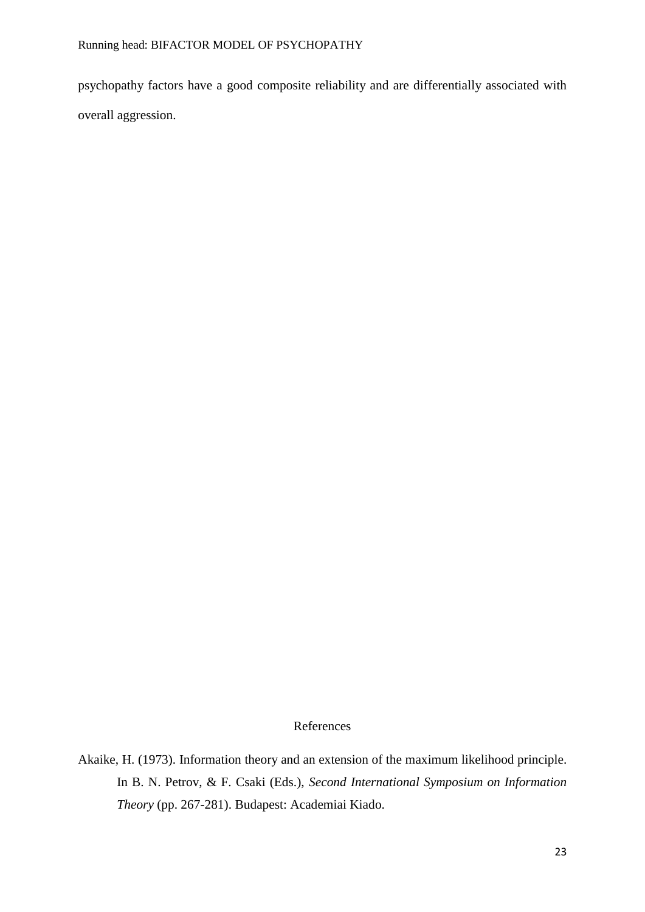psychopathy factors have a good composite reliability and are differentially associated with overall aggression.

## References

Akaike, H. (1973). Information theory and an extension of the maximum likelihood principle. In B. N. Petrov, & F. Csaki (Eds.), *Second International Symposium on Information Theory* (pp. 267-281). Budapest: Academiai Kiado.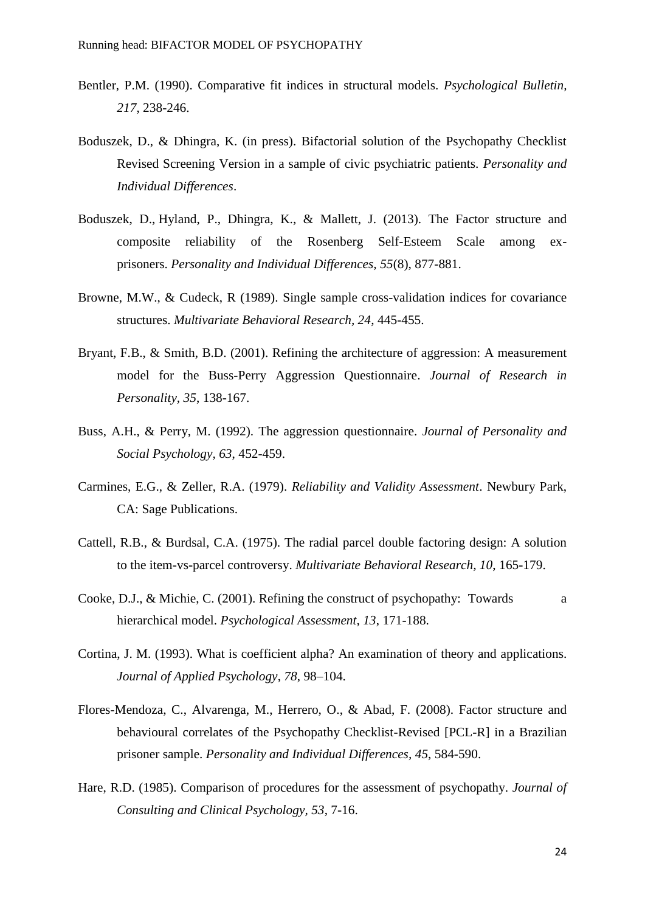- Bentler, P.M. (1990). Comparative fit indices in structural models. *Psychological Bulletin, 217*, 238-246.
- Boduszek, D., & Dhingra, K. (in press). Bifactorial solution of the Psychopathy Checklist Revised Screening Version in a sample of civic psychiatric patients. *Personality and Individual Differences*.
- Boduszek, D., Hyland, P., Dhingra, K., & Mallett, J. (2013). The Factor structure and composite reliability of the Rosenberg Self-Esteem Scale among exprisoners. *Personality and Individual Differences, 55*(8), 877-881.
- Browne, M.W., & Cudeck, R (1989). Single sample cross-validation indices for covariance structures. *Multivariate Behavioral Research, 24*, 445-455.
- Bryant, F.B., & Smith, B.D. (2001). Refining the architecture of aggression: A measurement model for the Buss-Perry Aggression Questionnaire. *Journal of Research in Personality, 35*, 138-167.
- Buss, A.H., & Perry, M. (1992). The aggression questionnaire. *Journal of Personality and Social Psychology, 63*, 452-459.
- Carmines, E.G., & Zeller, R.A. (1979). *Reliability and Validity Assessment*. Newbury Park, CA: Sage Publications.
- Cattell, R.B., & Burdsal, C.A. (1975). The radial parcel double factoring design: A solution to the item-vs-parcel controversy. *Multivariate Behavioral Research, 10*, 165-179.
- Cooke, D.J., & Michie, C. (2001). Refining the construct of psychopathy: Towards a hierarchical model. *Psychological Assessment, 13*, 171-188.
- Cortina, J. M. (1993). What is coefficient alpha? An examination of theory and applications. *Journal of Applied Psychology*, *78*, 98–104.
- Flores-Mendoza, C., Alvarenga, M., Herrero, O., & Abad, F. (2008). Factor structure and behavioural correlates of the Psychopathy Checklist-Revised [PCL-R] in a Brazilian prisoner sample. *Personality and Individual Differences, 45*, 584-590.
- Hare, R.D. (1985). Comparison of procedures for the assessment of psychopathy. *Journal of Consulting and Clinical Psychology, 53*, 7-16.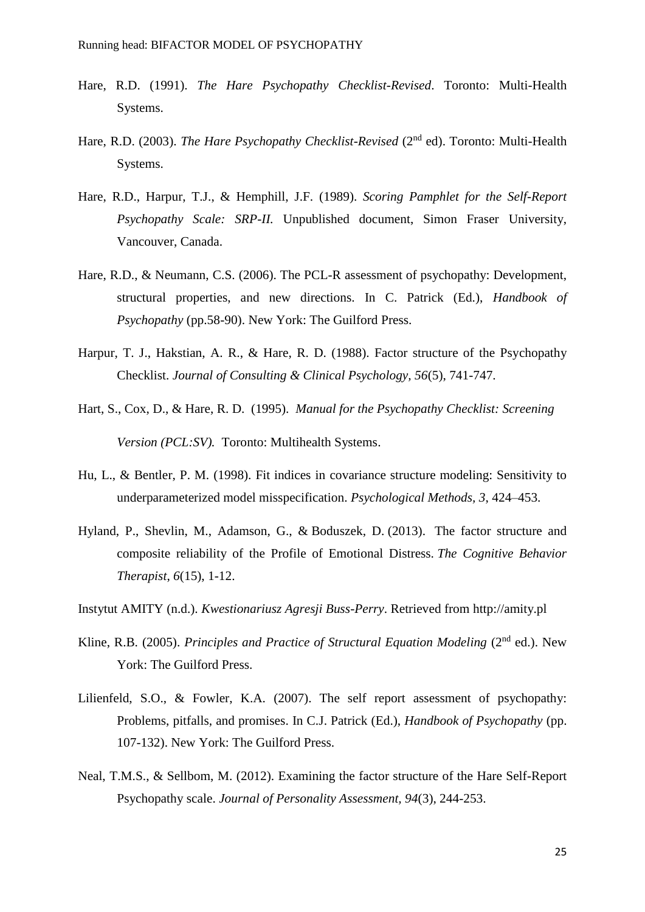- Hare, R.D. (1991). *The Hare Psychopathy Checklist-Revised*. Toronto: Multi-Health Systems.
- Hare, R.D. (2003). *The Hare Psychopathy Checklist-Revised* (2<sup>nd</sup> ed). Toronto: Multi-Health Systems.
- Hare, R.D., Harpur, T.J., & Hemphill, J.F. (1989). *Scoring Pamphlet for the Self-Report Psychopathy Scale: SRP-II.* Unpublished document, Simon Fraser University, Vancouver, Canada.
- Hare, R.D., & Neumann, C.S. (2006). The PCL-R assessment of psychopathy: Development, structural properties, and new directions. In C. Patrick (Ed.), *Handbook of Psychopathy* (pp.58-90). New York: The Guilford Press.
- Harpur, T. J., Hakstian, A. R., & Hare, R. D. (1988). Factor structure of the Psychopathy Checklist. *Journal of Consulting & Clinical Psychology, 56*(5), 741-747.
- Hart, S., Cox, D., & Hare, R. D. (1995). *Manual for the Psychopathy Checklist: Screening Version (PCL:SV).* Toronto: Multihealth Systems.
- Hu, L., & Bentler, P. M. (1998). Fit indices in covariance structure modeling: Sensitivity to underparameterized model misspecification. *Psychological Methods, 3*, 424–453.
- Hyland, P., Shevlin, M., Adamson, G., & Boduszek, D. (2013). The factor structure and composite reliability of the Profile of Emotional Distress. *The Cognitive Behavior Therapist*, *6*(15), 1-12.
- Instytut AMITY (n.d.). *Kwestionariusz Agresji Buss-Perry*. Retrieved from http://amity.pl
- Kline, R.B. (2005). *Principles and Practice of Structural Equation Modeling* (2<sup>nd</sup> ed.). New York: The Guilford Press.
- Lilienfeld, S.O., & Fowler, K.A. (2007). The self report assessment of psychopathy: Problems, pitfalls, and promises. In C.J. Patrick (Ed.), *Handbook of Psychopathy* (pp. 107-132). New York: The Guilford Press.
- Neal, T.M.S., & Sellbom, M. (2012). Examining the factor structure of the Hare Self-Report Psychopathy scale. *Journal of Personality Assessment, 94*(3), 244-253.